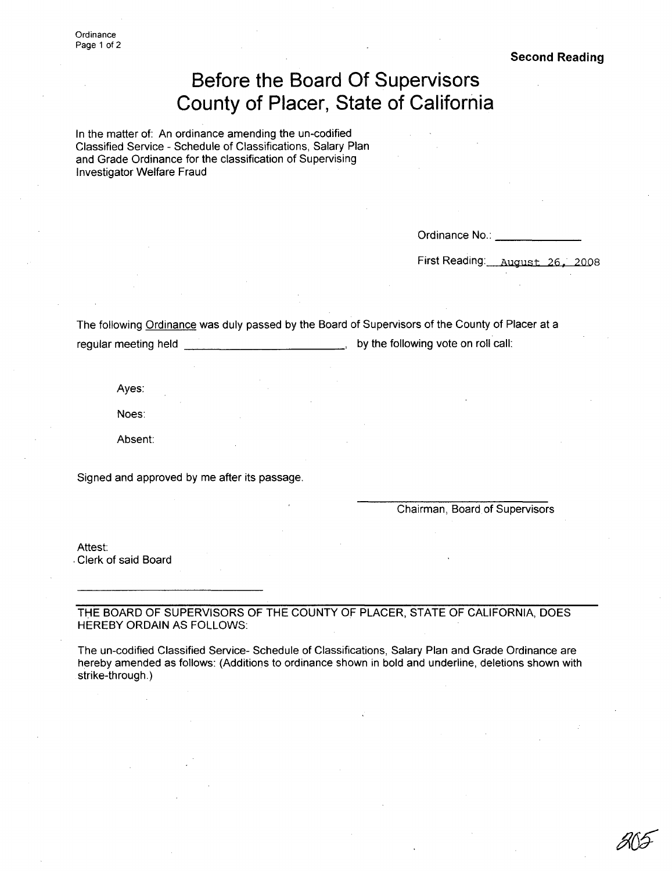**Ordinance** Page 1 of 2

**Second Reading**

## **Before the Board Of Supervisors County of Placer, State of California**

In the matter of: An ordinance amending the un-codified Classified Service - Schedule of Classifications, Salary Plan and Grade Ordinance for the classification of Supervising Investigator Welfare Fraud

Ordinance No.:

First Reading: August, 26, 2008

The following Ordinance was duly passed by the Board of Supervisors of the County of Placer at a regular meeting held  $\qquad \qquad \qquad \qquad \qquad \qquad$  by the following vote on roll call:

Ayes:

Noes:

Absent:

Signed and approved by me after its passage.

Chairman, Board of Supervisors

Attest:

.Clerk of said Board

THE BOARD OF SUPERVISORS OF THE COUNTY OF PLACER, STATE OF CALIFORNIA, DOES HEREBY ORDAIN AS FOLLOWS:

The un-codified Classified Service- Schedule of Classifications, Salary Plan and Grade Ordinance are hereby amended as follows: (Additions to ordinance shown in bold and underline, deletions shown with strike-through.)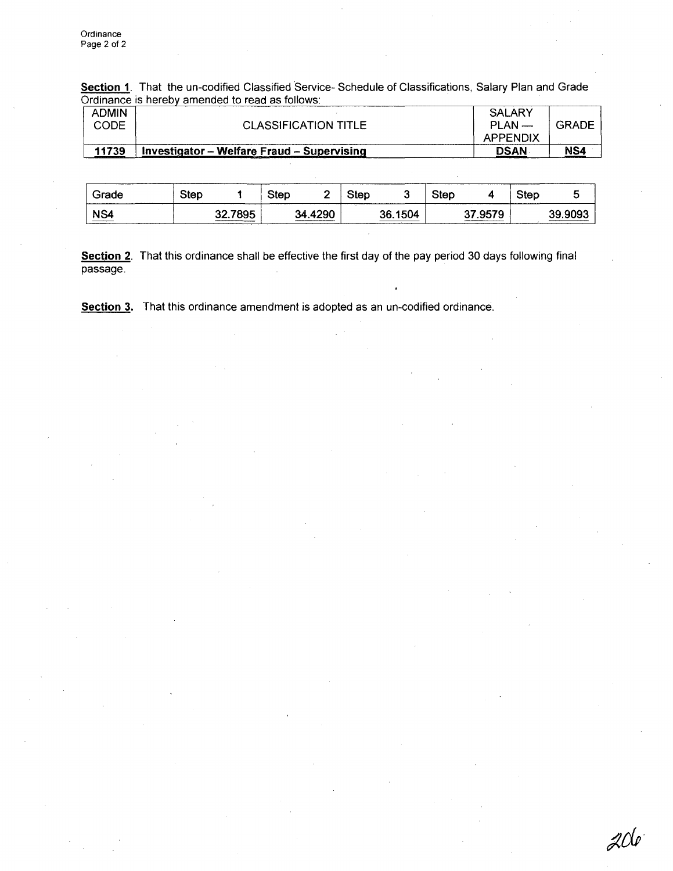Section 1. That the un-codified Classified Service- Schedule of Classifications, Salary Plan and Grade Ordinance is hereby amended to read as follows:

| <b>ADMIN</b><br>CODE | <b>CLASSIFICATION TITLE</b>                | SALARY<br>$PLAN$ —<br>APPENDIX | GRADE |
|----------------------|--------------------------------------------|--------------------------------|-------|
| 11739                | Investigator - Welfare Fraud - Supervising | <b>DSAN</b>                    | NS4   |

| Grade | Step |         | Step |         | Step |         | <b>Step</b> |             | Step |         |
|-------|------|---------|------|---------|------|---------|-------------|-------------|------|---------|
| NS4   |      | 32.7895 |      | 34.4290 |      | 36.1504 |             | .9579<br>37 |      | 39.9093 |

Section 2. That this ordinance shall be effective the first day of the pay period 30 days following final  $passage.$ 

Section 3. That this ordinance amendment is adopted as an un-codified ordinance.

 $Z$ Ole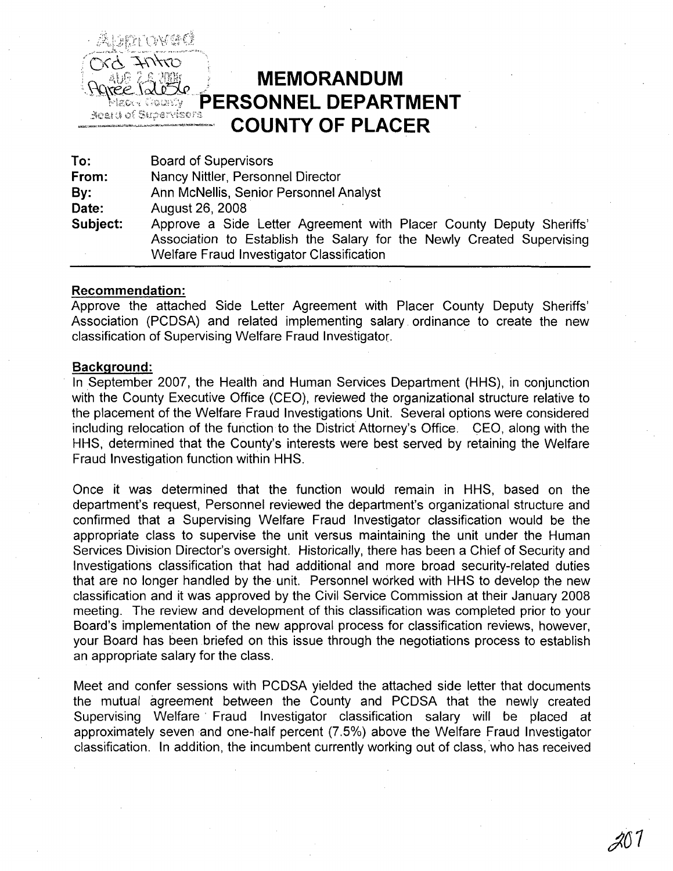

# **MEMORANDUM** PERSONNEL DEPARTMENT **COUNTY OF PLACER**

To: From: By: Date: Subject: Board of Supervisors Nancy Nittler, Personnel Director Ann McNellis, Senior Personnel Analyst August26,2008 Approve a Side Letter Agreement with Placer County Deputy Sheriffs' Association to Establish the Salary for the Newly Created Supervising Welfare Fraud Investigator Classification

#### Recommendation:

Approve the attached Side Letter Agreement with Placer County Deputy Sheriffs' Association (PCDSA) and related implementing salary ordinance to create the new classification of Supervising Welfare Fraud Investigator,

#### Background:

In September 2007, the Health and Human Services Department (HHS), in conjunction with the County Executive Office (CEO), reviewed the organizational structure relative to the placement of the Welfare Fraud Investigations Unit. Several options were considered including relocation of the function to the District Attorney's Office. CEO, along with the HHS, determined that the County's interests were best served by retaining the Welfare Fraud Investigation function within HHS.

Once it was determined that the function would remain in HHS, based on the department's request, Personnel reviewed the department's organizational structure and confirmed that a Supervising Welfare Fraud Investigator classification would be the appropriate class to supervise the unit versus maintaining the unit under the Human Services Division Director's oversight. Historically, there has been a Chief of Security and Investigations classification that had additional and more broad security-related duties that are no longer handled by the unit. Personnel worked with HHS to develop the new classification and it was approved by the Civil Service Commission at their January 2008 meeting. The review and development of this classification was completed prior to your Board's implementation of the new approval process for classification reviews, however, your Board has been briefed on this issue through the negotiations process to establish an appropriate salary for the class.

Meet and confer sessions with PCDSA yielded the attached side letter that documents the mutual agreement between the County and PCDSA that the newly created Supervising Welfare' Fraud Investigator classification salary will be placed at approximately seven and one-half percent (7.5%) above the Welfare Fraud Investigator classification. In addition, the incumbent currently working out of class, 'who has received